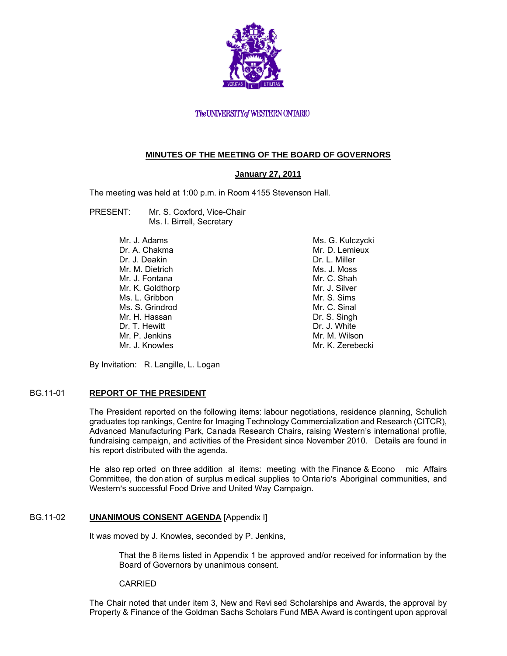

# The UNIVERSITY of WESTERN ONTARIO

# **MINUTES OF THE MEETING OF THE BOARD OF GOVERNORS**

## **January 27, 2011**

The meeting was held at 1:00 p.m. in Room 4155 Stevenson Hall.

- PRESENT: Mr. S. Coxford, Vice-Chair Ms. I. Birrell, Secretary
	- Mr. J. Adams Dr. A. Chakma Dr. J. Deakin Mr. M. Dietrich Mr. J. Fontana Mr. K. Goldthorp Ms. L. Gribbon Ms. S. Grindrod Mr. H. Hassan Dr. T. Hewitt Mr. P. Jenkins Mr. J. Knowles

Ms. G. Kulczycki Mr. D. Lemieux Dr. L. Miller Ms. J. Moss Mr. C. Shah Mr. J. Silver Mr. S. Sims Mr. C. Sinal Dr. S. Singh Dr. J. White Mr. M. Wilson Mr. K. Zerebecki

By Invitation: R. Langille, L. Logan

## BG.11-01 **REPORT OF THE PRESIDENT**

The President reported on the following items: labour negotiations, residence planning, Schulich graduates top rankings, Centre for Imaging Technology Commercialization and Research (CITCR), Advanced Manufacturing Park, Canada Research Chairs, raising Western's international profile, fundraising campaign, and activities of the President since November 2010. Details are found in his report distributed with the agenda.

He also rep orted on three addition al items: meeting with the Finance & Econo mic Affairs Committee, the don ation of surplus m edical supplies to Onta rio's Aboriginal communities, and Western's successful Food Drive and United Way Campaign.

## BG.11-02 **UNANIMOUS CONSENT AGENDA** [Appendix I]

It was moved by J. Knowles, seconded by P. Jenkins,

That the 8 items listed in Appendix 1 be approved and/or received for information by the Board of Governors by unanimous consent.

#### CARRIED

The Chair noted that under item 3, New and Revi sed Scholarships and Awards, the approval by Property & Finance of the Goldman Sachs Scholars Fund MBA Award is contingent upon approval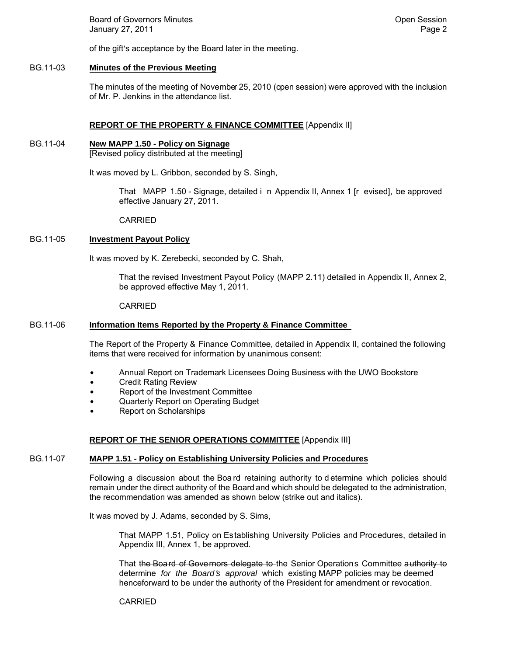Board of Governors Minutes **Contract Contract Contract Contract Contract Contract Contract Contract Contract Contract Contract Contract Contract Contract Contract Contract Contract Contract Contract Contract Contract Contr** January 27, 2011 **Page 2** and 2011 **Page 2** 

of the gift's acceptance by the Board later in the meeting.

# BG.11-03 **Minutes of the Previous Meeting**

The minutes of the meeting of November 25, 2010 (open session) were approved with the inclusion of Mr. P. Jenkins in the attendance list.

# **REPORT OF THE PROPERTY & FINANCE COMMITTEE** [Appendix II]

# BG.11-04 **New MAPP 1.50 - Policy on Signage**

[Revised policy distributed at the meeting]

It was moved by L. Gribbon, seconded by S. Singh,

That MAPP 1.50 - Signage, detailed i n Appendix II, Annex 1 [r evised], be approved effective January 27, 2011.

CARRIED

## BG.11-05 **Investment Payout Policy**

It was moved by K. Zerebecki, seconded by C. Shah,

That the revised Investment Payout Policy (MAPP 2.11) detailed in Appendix II, Annex 2, be approved effective May 1, 2011.

#### CARRIED

## BG.11-06 **Information Items Reported by the Property & Finance Committee**

The Report of the Property & Finance Committee, detailed in Appendix II, contained the following items that were received for information by unanimous consent:

- Annual Report on Trademark Licensees Doing Business with the UWO Bookstore
- Credit Rating Review
- Report of the Investment Committee
- Quarterly Report on Operating Budget
- **Report on Scholarships**

## **REPORT OF THE SENIOR OPERATIONS COMMITTEE** [Appendix III]

## BG.11-07 **MAPP 1.51 - Policy on Establishing University Policies and Procedures**

Following a discussion about the Boa rd retaining authority to d etermine which policies should remain under the direct authority of the Board and which should be delegated to the administration, the recommendation was amended as shown below (strike out and italics).

It was moved by J. Adams, seconded by S. Sims,

That MAPP 1.51, Policy on Establishing University Policies and Procedures, detailed in Appendix III, Annex 1, be approved.

That the Board of Governors delegate to the Senior Operations Committee authority to determine *for the Board's approval* which existing MAPP policies may be deemed henceforward to be under the authority of the President for amendment or revocation.

## CARRIED